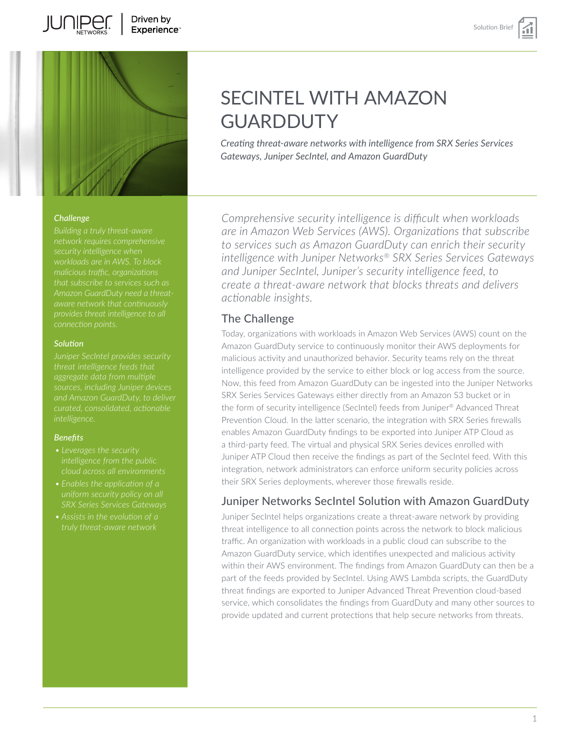

### *Challenge*

*network requires comprehensive malicious traffic, organizations* 

#### *Solution*

*Juniper SecIntel provides security aggregate data from multiple sources, including Juniper devices and Amazon GuardDuty, to deliver* 

#### *Benefits*

- 
- 
- 

# SECINTEL WITH AMAZON **GUARDDUTY**

*Creating threat-aware networks with intelligence from SRX Series Services Gateways, Juniper SecIntel, and Amazon GuardDuty* 

*Comprehensive security intelligence is difficult when workloads are in Amazon Web Services (AWS). Organizations that subscribe to services such as Amazon GuardDuty can enrich their security intelligence with Juniper Networks® SRX Series Services Gateways and Juniper SecIntel, Juniper's security intelligence feed, to create a threat-aware network that blocks threats and delivers actionable insights.* 

## The Challenge

Today, organizations with workloads in Amazon Web Services (AWS) count on the Amazon GuardDuty service to continuously monitor their AWS deployments for malicious activity and unauthorized behavior. Security teams rely on the threat intelligence provided by the service to either block or log access from the source. Now, this feed from Amazon GuardDuty can be ingested into the Juniper Networks SRX Series Services Gateways either directly from an Amazon S3 bucket or in the form of security intelligence (SecIntel) feeds from Juniper® Advanced Threat Prevention Cloud. In the latter scenario, the integration with SRX Series firewalls enables Amazon GuardDuty findings to be exported into Juniper ATP Cloud as a third-party feed. The virtual and physical SRX Series devices enrolled with Juniper ATP Cloud then receive the findings as part of the SecIntel feed. With this integration, network administrators can enforce uniform security policies across their SRX Series deployments, wherever those firewalls reside.

## Juniper Networks SecIntel Solution with Amazon GuardDuty

Juniper SecIntel helps organizations create a threat-aware network by providing threat intelligence to all connection points across the network to block malicious traffic. An organization with workloads in a public cloud can subscribe to the Amazon GuardDuty service, which identifies unexpected and malicious activity within their AWS environment. The findings from Amazon GuardDuty can then be a part of the feeds provided by SecIntel. Using AWS Lambda scripts, the GuardDuty threat findings are exported to Juniper Advanced Threat Prevention cloud-based service, which consolidates the findings from GuardDuty and many other sources to provide updated and current protections that help secure networks from threats.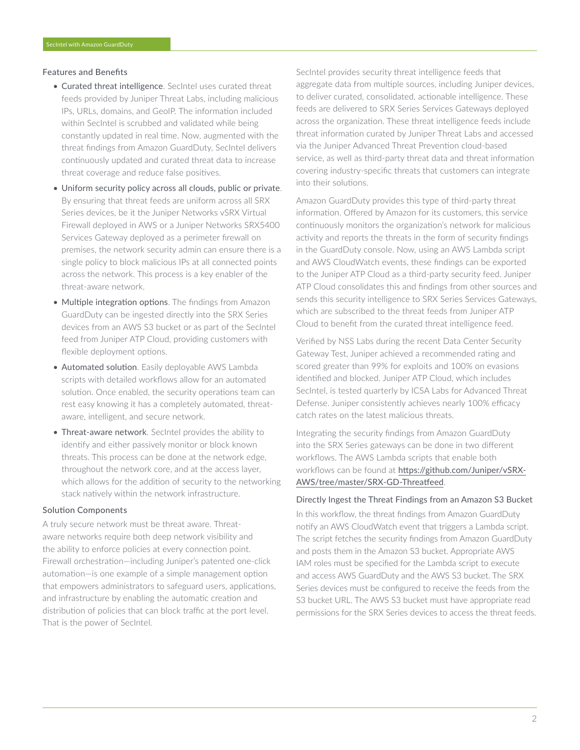#### Features and Benefits

- Curated threat intelligence. Secintel uses curated threat feeds provided by Juniper Threat Labs, including malicious IPs, URLs, domains, and GeoIP. The information included within SecIntel is scrubbed and validated while being constantly updated in real time. Now, augmented with the threat findings from Amazon GuardDuty, SecIntel delivers continuously updated and curated threat data to increase threat coverage and reduce false positives.
- Uniform security policy across all clouds, public or private. By ensuring that threat feeds are uniform across all SRX Series devices, be it the Juniper Networks vSRX Virtual Firewall deployed in AWS or a Juniper Networks SRX5400 Services Gateway deployed as a perimeter firewall on premises, the network security admin can ensure there is a single policy to block malicious IPs at all connected points across the network. This process is a key enabler of the threat-aware network.
- Multiple integration options. The findings from Amazon GuardDuty can be ingested directly into the SRX Series devices from an AWS S3 bucket or as part of the SecIntel feed from Juniper ATP Cloud, providing customers with flexible deployment options.
- Automated solution. Easily deployable AWS Lambda scripts with detailed workflows allow for an automated solution. Once enabled, the security operations team can rest easy knowing it has a completely automated, threataware, intelligent, and secure network.
- Threat-aware network. Secintel provides the ability to identify and either passively monitor or block known threats. This process can be done at the network edge, throughout the network core, and at the access layer, which allows for the addition of security to the networking stack natively within the network infrastructure.

#### Solution Components

A truly secure network must be threat aware. Threataware networks require both deep network visibility and the ability to enforce policies at every connection point. Firewall orchestration—including Juniper's patented one-click automation—is one example of a simple management option that empowers administrators to safeguard users, applications, and infrastructure by enabling the automatic creation and distribution of policies that can block traffic at the port level. That is the power of SecIntel.

SecIntel provides security threat intelligence feeds that aggregate data from multiple sources, including Juniper devices, to deliver curated, consolidated, actionable intelligence. These feeds are delivered to SRX Series Services Gateways deployed across the organization. These threat intelligence feeds include threat information curated by Juniper Threat Labs and accessed via the Juniper Advanced Threat Prevention cloud-based service, as well as third-party threat data and threat information covering industry-specific threats that customers can integrate into their solutions.

Amazon GuardDuty provides this type of third-party threat information. Offered by Amazon for its customers, this service continuously monitors the organization's network for malicious activity and reports the threats in the form of security findings in the GuardDuty console. Now, using an AWS Lambda script and AWS CloudWatch events, these findings can be exported to the Juniper ATP Cloud as a third-party security feed. Juniper ATP Cloud consolidates this and findings from other sources and sends this security intelligence to SRX Series Services Gateways, which are subscribed to the threat feeds from Juniper ATP Cloud to benefit from the curated threat intelligence feed.

Verified by NSS Labs during the recent Data Center Security Gateway Test, Juniper achieved a recommended rating and scored greater than 99% for exploits and 100% on evasions identified and blocked. Juniper ATP Cloud, which includes SecIntel, is tested quarterly by ICSA Labs for Advanced Threat Defense. Juniper consistently achieves nearly 100% efficacy catch rates on the latest malicious threats.

Integrating the security findings from Amazon GuardDuty into the SRX Series gateways can be done in two different workflows. The AWS Lambda scripts that enable both workflows can be found at [https://github.com/Juniper/vSRX-](https://github.com/Juniper/vSRX-AWS/tree/master/SRX-GD-Threatfeed)[AWS/tree/master/SRX-GD-Threatfeed](https://github.com/Juniper/vSRX-AWS/tree/master/SRX-GD-Threatfeed).

#### Directly Ingest the Threat Findings from an Amazon S3 Bucket

In this workflow, the threat findings from Amazon GuardDuty notify an AWS CloudWatch event that triggers a Lambda script. The script fetches the security findings from Amazon GuardDuty and posts them in the Amazon S3 bucket. Appropriate AWS IAM roles must be specified for the Lambda script to execute and access AWS GuardDuty and the AWS S3 bucket. The SRX Series devices must be configured to receive the feeds from the S3 bucket URL. The AWS S3 bucket must have appropriate read permissions for the SRX Series devices to access the threat feeds.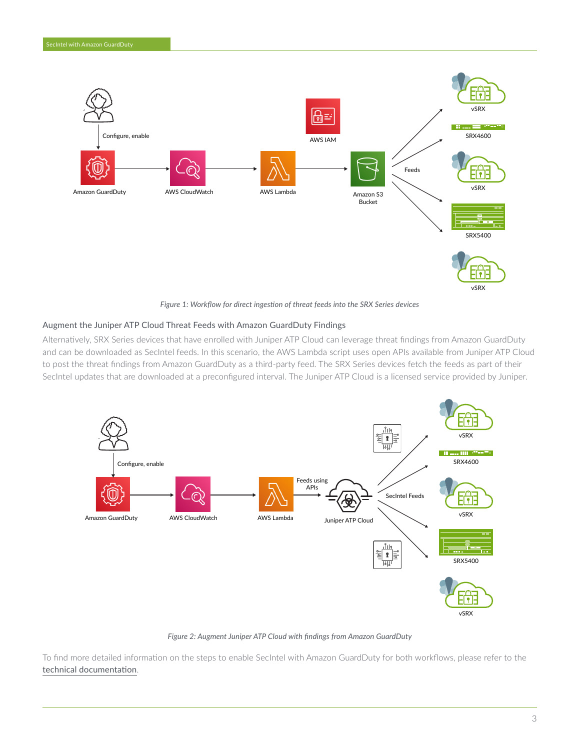

*Figure 1: Workflow for direct ingestion of threat feeds into the SRX Series devices*

#### Augment the Juniper ATP Cloud Threat Feeds with Amazon GuardDuty Findings

Alternatively, SRX Series devices that have enrolled with Juniper ATP Cloud can leverage threat findings from Amazon GuardDuty and can be downloaded as SecIntel feeds. In this scenario, the AWS Lambda script uses open APIs available from Juniper ATP Cloud to post the threat findings from Amazon GuardDuty as a third-party feed. The SRX Series devices fetch the feeds as part of their SecIntel updates that are downloaded at a preconfigured interval. The Juniper ATP Cloud is a licensed service provided by Juniper.



#### *Figure 2: Augment Juniper ATP Cloud with findings from Amazon GuardDuty*

To find more detailed information on the steps to enable SecIntel with Amazon GuardDuty for both workflows, please refer to the [technical documentation](https://www.juniper.net/documentation/en_US/release-independent/sky-atp/topics/topic-map/sky-atp-guardduty-srx-integration.html).